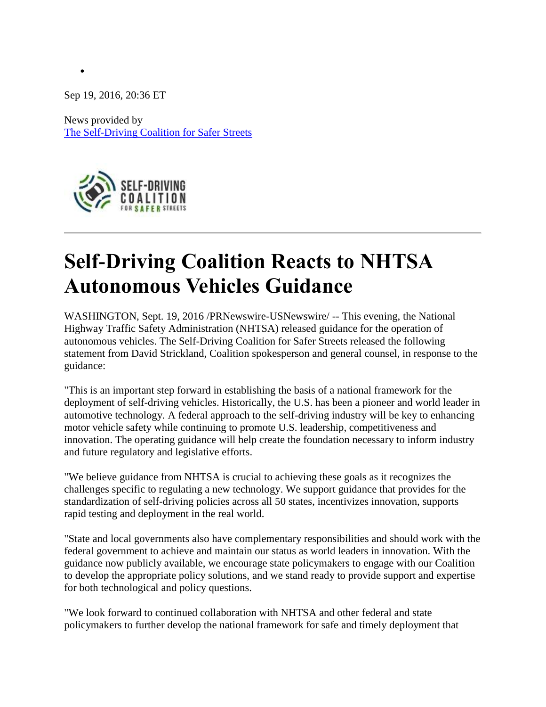Sep 19, 2016, 20:36 ET

 $\bullet$ 

News provided by [The Self-Driving Coalition for Safer Streets](http://www.prnewswire.com/news/the+self-driving+coalition+for+safer+streets) 



## **Self-Driving Coalition Reacts to NHTSA Autonomous Vehicles Guidance**

WASHINGTON, Sept. 19, 2016 /PRNewswire-USNewswire/ -- This evening, the National Highway Traffic Safety Administration (NHTSA) released guidance for the operation of autonomous vehicles. The Self-Driving Coalition for Safer Streets released the following statement from David Strickland, Coalition spokesperson and general counsel, in response to the guidance:

"This is an important step forward in establishing the basis of a national framework for the deployment of self-driving vehicles. Historically, the U.S. has been a pioneer and world leader in automotive technology. A federal approach to the self-driving industry will be key to enhancing motor vehicle safety while continuing to promote U.S. leadership, competitiveness and innovation. The operating guidance will help create the foundation necessary to inform industry and future regulatory and legislative efforts.

"We believe guidance from NHTSA is crucial to achieving these goals as it recognizes the challenges specific to regulating a new technology. We support guidance that provides for the standardization of self-driving policies across all 50 states, incentivizes innovation, supports rapid testing and deployment in the real world.

"State and local governments also have complementary responsibilities and should work with the federal government to achieve and maintain our status as world leaders in innovation. With the guidance now publicly available, we encourage state policymakers to engage with our Coalition to develop the appropriate policy solutions, and we stand ready to provide support and expertise for both technological and policy questions.

"We look forward to continued collaboration with NHTSA and other federal and state policymakers to further develop the national framework for safe and timely deployment that